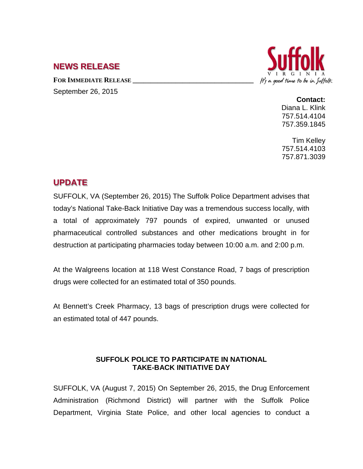## **NEWS RELEASE**

FOR **IMMEDIATE RELEASE** September 26, 2015



**Contact:** Diana L. Klink 757.514.4104 757.359.1845

Tim Kelley 757.514.4103 757.871.3039

## **UPDATE**

SUFFOLK, VA (September 26, 2015) The Suffolk Police Department advises that today's National Take-Back Initiative Day was a tremendous success locally, with a total of approximately 797 pounds of expired, unwanted or unused pharmaceutical controlled substances and other medications brought in for destruction at participating pharmacies today between 10:00 a.m. and 2:00 p.m.

At the Walgreens location at 118 West Constance Road, 7 bags of prescription drugs were collected for an estimated total of 350 pounds.

At Bennett's Creek Pharmacy, 13 bags of prescription drugs were collected for an estimated total of 447 pounds.

## **SUFFOLK POLICE TO PARTICIPATE IN NATIONAL TAKE-BACK INITIATIVE DAY**

SUFFOLK, VA (August 7, 2015) On September 26, 2015, the Drug Enforcement Administration (Richmond District) will partner with the Suffolk Police Department, Virginia State Police, and other local agencies to conduct a